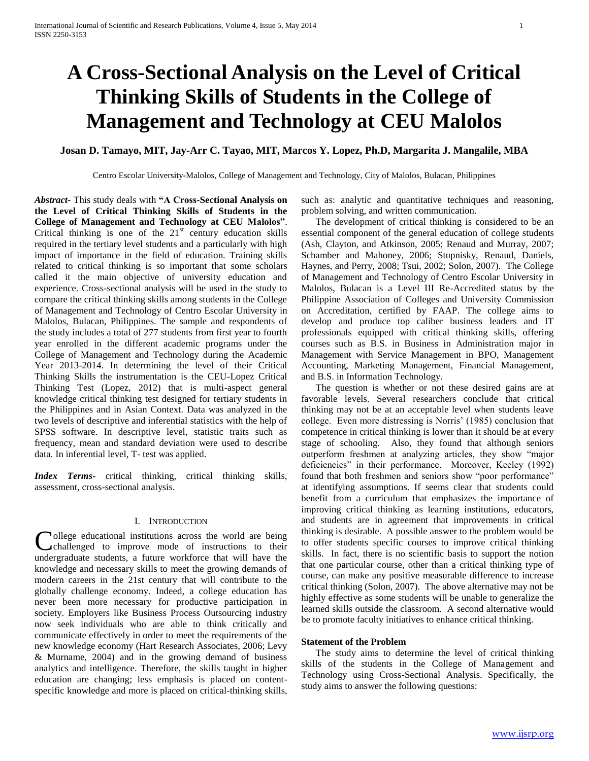# **A Cross-Sectional Analysis on the Level of Critical Thinking Skills of Students in the College of Management and Technology at CEU Malolos**

# **Josan D. Tamayo, MIT, Jay-Arr C. Tayao, MIT, Marcos Y. Lopez, Ph.D, Margarita J. Mangalile, MBA**

Centro Escolar University-Malolos, College of Management and Technology, City of Malolos, Bulacan, Philippines

*Abstract***-** This study deals with **"A Cross-Sectional Analysis on the Level of Critical Thinking Skills of Students in the College of Management and Technology at CEU Malolos"**. Critical thinking is one of the  $21<sup>st</sup>$  century education skills required in the tertiary level students and a particularly with high impact of importance in the field of education. Training skills related to critical thinking is so important that some scholars called it the main objective of university education and experience. Cross-sectional analysis will be used in the study to compare the critical thinking skills among students in the College of Management and Technology of Centro Escolar University in Malolos, Bulacan, Philippines. The sample and respondents of the study includes a total of 277 students from first year to fourth year enrolled in the different academic programs under the College of Management and Technology during the Academic Year 2013-2014. In determining the level of their Critical Thinking Skills the instrumentation is the CEU-Lopez Critical Thinking Test (Lopez, 2012) that is multi-aspect general knowledge critical thinking test designed for tertiary students in the Philippines and in Asian Context. Data was analyzed in the two levels of descriptive and inferential statistics with the help of SPSS software. In descriptive level, statistic traits such as frequency, mean and standard deviation were used to describe data. In inferential level, T- test was applied.

*Index Terms*- critical thinking, critical thinking skills, assessment, cross-sectional analysis.

## I. INTRODUCTION

ollege educational institutions across the world are being College educational institutions across the world are being<br>challenged to improve mode of instructions to their undergraduate students, a future workforce that will have the knowledge and necessary skills to meet the growing demands of modern careers in the 21st century that will contribute to the globally challenge economy. Indeed, a college education has never been more necessary for productive participation in society. Employers like Business Process Outsourcing industry now seek individuals who are able to think critically and communicate effectively in order to meet the requirements of the new knowledge economy (Hart Research Associates, 2006; Levy & Murname, 2004) and in the growing demand of business analytics and intelligence. Therefore, the skills taught in higher education are changing; less emphasis is placed on contentspecific knowledge and more is placed on critical-thinking skills,

such as: analytic and quantitative techniques and reasoning, problem solving, and written communication.

 The development of critical thinking is considered to be an essential component of the general education of college students (Ash, Clayton, and Atkinson, 2005; Renaud and Murray, 2007; Schamber and Mahoney, 2006; Stupnisky, Renaud, Daniels, Haynes, and Perry, 2008; Tsui, 2002; Solon, 2007). The College of Management and Technology of Centro Escolar University in Malolos, Bulacan is a Level III Re-Accredited status by the Philippine Association of Colleges and University Commission on Accreditation, certified by FAAP. The college aims to develop and produce top caliber business leaders and IT professionals equipped with critical thinking skills, offering courses such as B.S. in Business in Administration major in Management with Service Management in BPO, Management Accounting, Marketing Management, Financial Management, and B.S. in Information Technology.

 The question is whether or not these desired gains are at favorable levels. Several researchers conclude that critical thinking may not be at an acceptable level when students leave college. Even more distressing is Norris' (1985) conclusion that competence in critical thinking is lower than it should be at every stage of schooling. Also, they found that although seniors outperform freshmen at analyzing articles, they show "major deficiencies" in their performance. Moreover, Keeley (1992) found that both freshmen and seniors show "poor performance" at identifying assumptions. If seems clear that students could benefit from a curriculum that emphasizes the importance of improving critical thinking as learning institutions, educators, and students are in agreement that improvements in critical thinking is desirable. A possible answer to the problem would be to offer students specific courses to improve critical thinking skills. In fact, there is no scientific basis to support the notion that one particular course, other than a critical thinking type of course, can make any positive measurable difference to increase critical thinking (Solon, 2007). The above alternative may not be highly effective as some students will be unable to generalize the learned skills outside the classroom. A second alternative would be to promote faculty initiatives to enhance critical thinking.

## **Statement of the Problem**

 The study aims to determine the level of critical thinking skills of the students in the College of Management and Technology using Cross-Sectional Analysis. Specifically, the study aims to answer the following questions: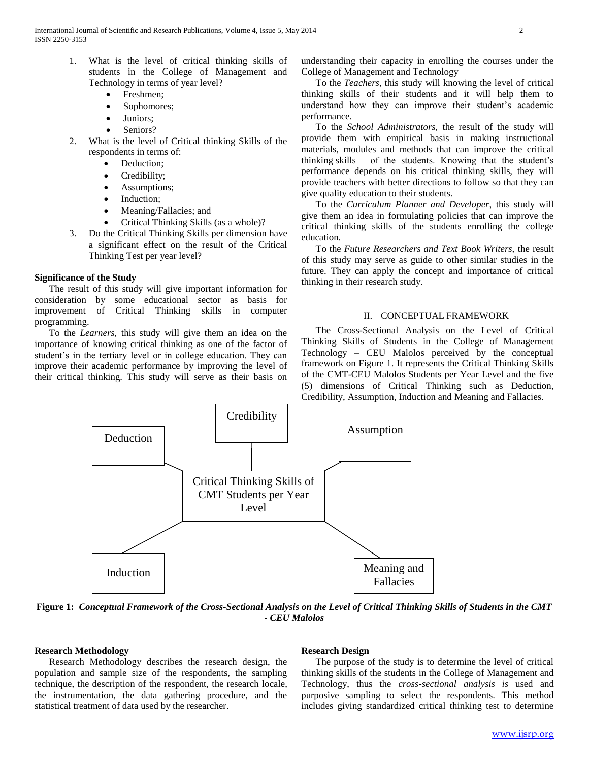- 1. What is the level of critical thinking skills of students in the College of Management and Technology in terms of year level?
	- Freshmen;
	- Sophomores;
	- Juniors:
	- Seniors?
- 2. What is the level of Critical thinking Skills of the respondents in terms of:
	- Deduction;
	- Credibility;
	- Assumptions;
	- Induction;
	- Meaning/Fallacies; and
	- Critical Thinking Skills (as a whole)?
- 3. Do the Critical Thinking Skills per dimension have a significant effect on the result of the Critical Thinking Test per year level?

## **Significance of the Study**

 The result of this study will give important information for consideration by some educational sector as basis for improvement of Critical Thinking skills in computer programming.

 To the *Learners*, this study will give them an idea on the importance of knowing critical thinking as one of the factor of student's in the tertiary level or in college education. They can improve their academic performance by improving the level of their critical thinking. This study will serve as their basis on

understanding their capacity in enrolling the courses under the College of Management and Technology

 To the *Teachers,* this study will knowing the level of critical thinking skills of their students and it will help them to understand how they can improve their student's academic performance.

 To the *School Administrators,* the result of the study will provide them with empirical basis in making instructional materials, modules and methods that can improve the critical thinking skills of the students. Knowing that the student's performance depends on his critical thinking skills, they will provide teachers with better directions to follow so that they can give quality education to their students.

 To the *Curriculum Planner and Developer,* this study will give them an idea in formulating policies that can improve the critical thinking skills of the students enrolling the college education.

 To the *Future Researchers and Text Book Writers,* the result of this study may serve as guide to other similar studies in the future. They can apply the concept and importance of critical thinking in their research study.

#### II. CONCEPTUAL FRAMEWORK

 The Cross-Sectional Analysis on the Level of Critical Thinking Skills of Students in the College of Management Technology – CEU Malolos perceived by the conceptual framework on Figure 1. It represents the Critical Thinking Skills of the CMT-CEU Malolos Students per Year Level and the five (5) dimensions of Critical Thinking such as Deduction, Credibility, Assumption, Induction and Meaning and Fallacies.



**Figure 1:** *Conceptual Framework of the Cross-Sectional Analysis on the Level of Critical Thinking Skills of Students in the CMT - CEU Malolos*

#### **Research Methodology**

 Research Methodology describes the research design, the population and sample size of the respondents, the sampling technique, the description of the respondent, the research locale, the instrumentation, the data gathering procedure, and the statistical treatment of data used by the researcher.

#### **Research Design**

 The purpose of the study is to determine the level of critical thinking skills of the students in the College of Management and Technology, thus the *cross-sectional analysis is* used and purposive sampling to select the respondents. This method includes giving standardized critical thinking test to determine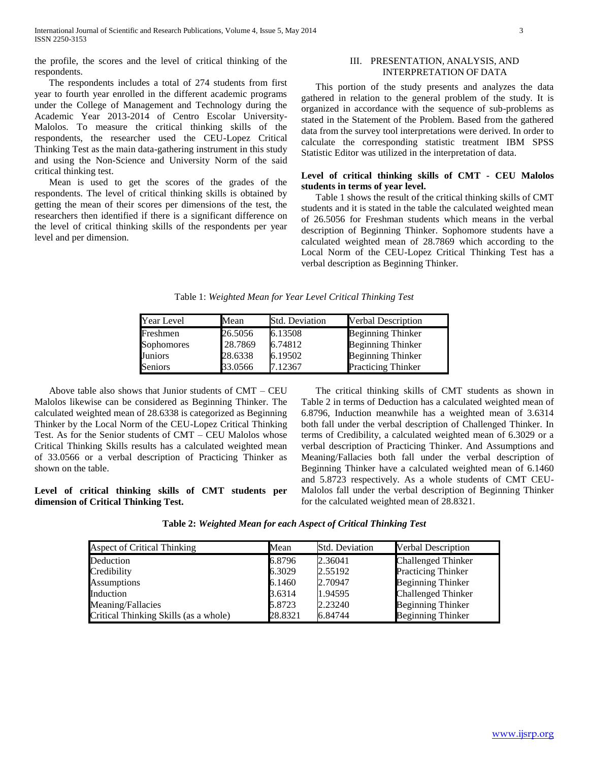the profile, the scores and the level of critical thinking of the respondents.

 The respondents includes a total of 274 students from first year to fourth year enrolled in the different academic programs under the College of Management and Technology during the Academic Year 2013-2014 of Centro Escolar University-Malolos. To measure the critical thinking skills of the respondents, the researcher used the CEU-Lopez Critical Thinking Test as the main data-gathering instrument in this study and using the Non-Science and University Norm of the said critical thinking test.

 Mean is used to get the scores of the grades of the respondents. The level of critical thinking skills is obtained by getting the mean of their scores per dimensions of the test, the researchers then identified if there is a significant difference on the level of critical thinking skills of the respondents per year level and per dimension.

## III. PRESENTATION, ANALYSIS, AND INTERPRETATION OF DATA

 This portion of the study presents and analyzes the data gathered in relation to the general problem of the study. It is organized in accordance with the sequence of sub-problems as stated in the Statement of the Problem. Based from the gathered data from the survey tool interpretations were derived. In order to calculate the corresponding statistic treatment IBM SPSS Statistic Editor was utilized in the interpretation of data.

## **Level of critical thinking skills of CMT - CEU Malolos students in terms of year level.**

 Table 1 shows the result of the critical thinking skills of CMT students and it is stated in the table the calculated weighted mean of 26.5056 for Freshman students which means in the verbal description of Beginning Thinker. Sophomore students have a calculated weighted mean of 28.7869 which according to the Local Norm of the CEU-Lopez Critical Thinking Test has a verbal description as Beginning Thinker.

| Year Level     | Mean    | Std. Deviation | <b>Verbal Description</b> |
|----------------|---------|----------------|---------------------------|
| Freshmen       | 26.5056 | 6.13508        | <b>Beginning Thinker</b>  |
| Sophomores     | 28.7869 | 6.74812        | <b>Beginning Thinker</b>  |
| Juniors        | 28.6338 | 6.19502        | <b>Beginning Thinker</b>  |
| <b>Seniors</b> | 33.0566 | 7.12367        | <b>Practicing Thinker</b> |

 Above table also shows that Junior students of CMT – CEU Malolos likewise can be considered as Beginning Thinker. The calculated weighted mean of 28.6338 is categorized as Beginning Thinker by the Local Norm of the CEU-Lopez Critical Thinking Test. As for the Senior students of CMT – CEU Malolos whose Critical Thinking Skills results has a calculated weighted mean of 33.0566 or a verbal description of Practicing Thinker as shown on the table.

**Level of critical thinking skills of CMT students per dimension of Critical Thinking Test.**

 The critical thinking skills of CMT students as shown in Table 2 in terms of Deduction has a calculated weighted mean of 6.8796, Induction meanwhile has a weighted mean of 3.6314 both fall under the verbal description of Challenged Thinker. In terms of Credibility, a calculated weighted mean of 6.3029 or a verbal description of Practicing Thinker. And Assumptions and Meaning/Fallacies both fall under the verbal description of Beginning Thinker have a calculated weighted mean of 6.1460 and 5.8723 respectively. As a whole students of CMT CEU-Malolos fall under the verbal description of Beginning Thinker for the calculated weighted mean of 28.8321.

**Table 2:** *Weighted Mean for each Aspect of Critical Thinking Test*

| Aspect of Critical Thinking           | Mean    | <b>Std. Deviation</b> | <b>Verbal Description</b> |  |  |
|---------------------------------------|---------|-----------------------|---------------------------|--|--|
| Deduction                             | 6.8796  | 2.36041               | <b>Challenged Thinker</b> |  |  |
| Credibility                           | 6.3029  | 2.55192               | <b>Practicing Thinker</b> |  |  |
| <b>Assumptions</b>                    | 6.1460  | 2.70947               | <b>Beginning Thinker</b>  |  |  |
| Induction                             | 3.6314  | 1.94595               | <b>Challenged Thinker</b> |  |  |
| Meaning/Fallacies                     | 5.8723  | 2.23240               | <b>Beginning Thinker</b>  |  |  |
| Critical Thinking Skills (as a whole) | 28.8321 | 6.84744               | <b>Beginning Thinker</b>  |  |  |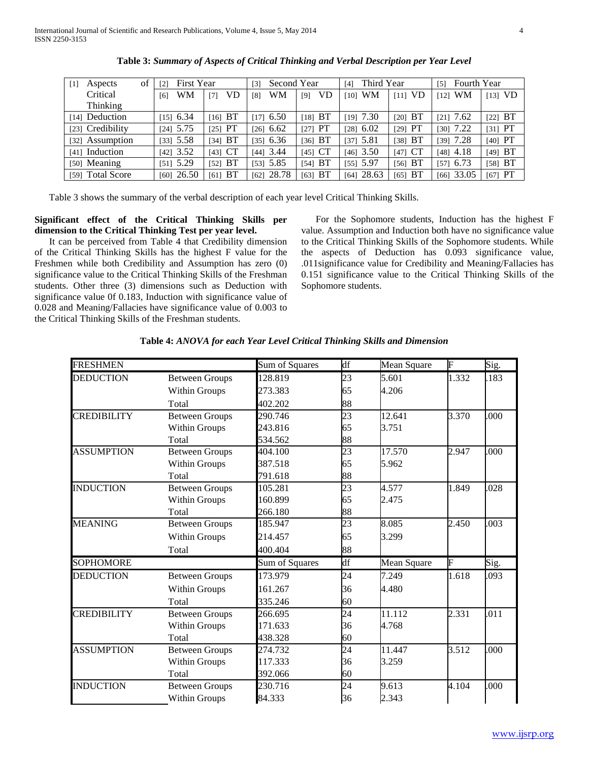| of<br>Aspects<br>$\lceil 1 \rceil$ | First Year<br>$\lceil 2 \rceil$ | Second Year<br>[3] |               |             | Third Year<br>[4] |             | Fourth Year<br>[5] |           |
|------------------------------------|---------------------------------|--------------------|---------------|-------------|-------------------|-------------|--------------------|-----------|
| Critical                           | WM<br>[6]                       | VD<br>[7]          | WM<br>[8]     | VD<br>$[9]$ | <b>WM</b><br>[10] | $[11]$ VD   | WM<br>[12]         | $[13]$ VD |
| Thinking                           |                                 |                    |               |             |                   |             |                    |           |
| [14] Deduction                     | $[15]$ 6.34                     | $[16]$ BT          | $[17]$ 6.50   | $[18]$ BT   | $[19]$ 7.30       | $[20]$ BT   | $[21]$ 7.62        | $[22]$ BT |
| [23] Credibility                   | $[24]$ 5.75                     | $[25]$ PT          | $[26]$ 6.62   | $[27]$ PT   | $[28]$ 6.02       | $[29]$ PT   | $[30]$ 7.22        | [31] $PT$ |
| [32] Assumption                    | $[33]$ 5.58                     | [34] BT            | [35] 6.36     | $[36]$ BT   | [37] $5.81$       | [38] BT     | $[39]$ 7.28        | $[40]$ PT |
| [41] Induction                     | $[42]$ 3.52                     | $[43]$ CT          | $[44]$ 3.44   | $[45]$ CT   | $[46]$ 3.50       | $[47]$ CT   | $[48]$ 4.18        | $[49]$ BT |
| [50] Meaning                       | $[51]$ 5.29                     | BT<br>521          | 5.85<br>[53]  | [54] BT     | $[55]$ 5.97       | $[56]$ BT   | $[57]$ 6.73        | [58] BT   |
| [59] Total Score                   | $[60]$ 26.50                    | BT<br>[61]         | 28.78<br>[62] | BT<br>[63]  | 28.63<br>[64]     | $[65]$ $BT$ | $[66]$ 33.05       | $[67]$ PT |

**Table 3:** *Summary of Aspects of Critical Thinking and Verbal Description per Year Level*

Table 3 shows the summary of the verbal description of each year level Critical Thinking Skills.

# **Significant effect of the Critical Thinking Skills per dimension to the Critical Thinking Test per year level.**

 It can be perceived from Table 4 that Credibility dimension of the Critical Thinking Skills has the highest F value for the Freshmen while both Credibility and Assumption has zero (0) significance value to the Critical Thinking Skills of the Freshman students. Other three (3) dimensions such as Deduction with significance value 0f 0.183, Induction with significance value of 0.028 and Meaning/Fallacies have significance value of 0.003 to the Critical Thinking Skills of the Freshman students.

 For the Sophomore students, Induction has the highest F value. Assumption and Induction both have no significance value to the Critical Thinking Skills of the Sophomore students. While the aspects of Deduction has 0.093 significance value, .011significance value for Credibility and Meaning/Fallacies has 0.151 significance value to the Critical Thinking Skills of the Sophomore students.

| <b>FRESHMEN</b>    |                       | Sum of Squares | df              | Mean Square | F     | Sig. |
|--------------------|-----------------------|----------------|-----------------|-------------|-------|------|
| <b>DEDUCTION</b>   | <b>Between Groups</b> | 128.819        | 23              | 5.601       | 1.332 | .183 |
|                    | <b>Within Groups</b>  | 273.383        | 65              | 4.206       |       |      |
|                    | Total                 | 402.202        | 88              |             |       |      |
| <b>CREDIBILITY</b> | <b>Between Groups</b> | 290.746        | 23              | 12.641      | 3.370 | .000 |
|                    | Within Groups         | 243.816        | 65              | 3.751       |       |      |
|                    | Total                 | 534.562        | 88              |             |       |      |
| <b>ASSUMPTION</b>  | <b>Between Groups</b> | 404.100        | $\overline{23}$ | 17.570      | 2.947 | .000 |
|                    | Within Groups         | 387.518        | 65              | 5.962       |       |      |
|                    | Total                 | 791.618        | 88              |             |       |      |
| <b>INDUCTION</b>   | <b>Between Groups</b> | 105.281        | 23              | 4.577       | 1.849 | .028 |
|                    | Within Groups         | 160.899        | 65              | 2.475       |       |      |
|                    | Total                 | 266.180        | 88              |             |       |      |
| <b>MEANING</b>     | <b>Between Groups</b> | 185.947        | 23              | 8.085       | 2.450 | .003 |
|                    | Within Groups         | 214.457        | 65              | 3.299       |       |      |
|                    | Total                 | 400.404        | 88              |             |       |      |
| <b>SOPHOMORE</b>   |                       | Sum of Squares | df              | Mean Square | F     | Sig. |
| <b>DEDUCTION</b>   | <b>Between Groups</b> | 173.979        | 24              | 7.249       | 1.618 | .093 |
|                    | Within Groups         | 161.267        | 36              | 4.480       |       |      |
|                    | Total                 | 335.246        | 60              |             |       |      |
| <b>CREDIBILITY</b> | <b>Between Groups</b> | 266.695        | 24              | 11.112      | 2.331 | .011 |
|                    | Within Groups         | 171.633        | 36              | 4.768       |       |      |
|                    | Total                 | 438.328        | 60              |             |       |      |
| <b>ASSUMPTION</b>  | <b>Between Groups</b> | 274.732        | $\overline{24}$ | 11.447      | 3.512 | .000 |
|                    | Within Groups         | 117.333        | 36              | 3.259       |       |      |
|                    | Total                 | 392.066        | 60              |             |       |      |
| <b>INDUCTION</b>   | <b>Between Groups</b> | 230.716        | 24              | 9.613       | 4.104 | .000 |
|                    | Within Groups         | 84.333         | 36              | 2.343       |       |      |

**Table 4:** *ANOVA for each Year Level Critical Thinking Skills and Dimension*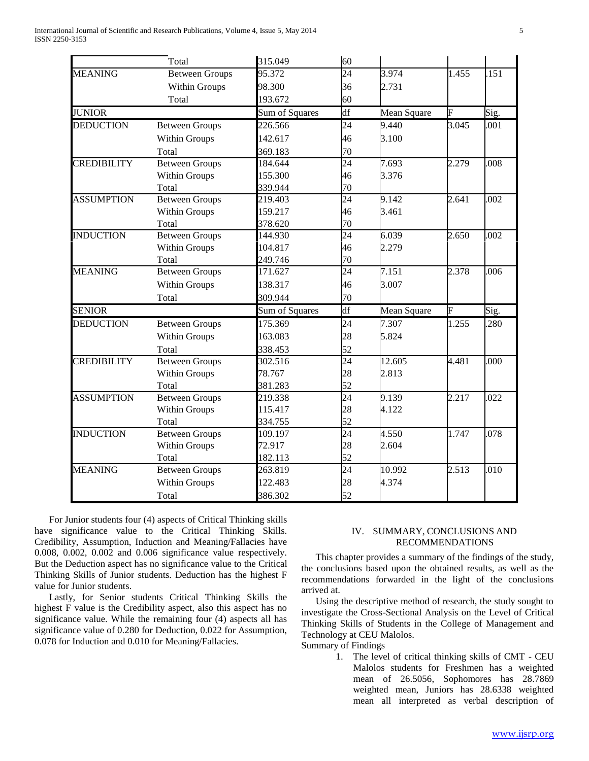|                    | Total                 | 315.049        | 60                       |             |       |      |
|--------------------|-----------------------|----------------|--------------------------|-------------|-------|------|
| <b>MEANING</b>     | <b>Between Groups</b> | 95.372         | $\overline{24}$          | 3.974       | 1.455 | .151 |
|                    | Within Groups         | 98.300         | 36                       | 2.731       |       |      |
|                    | Total                 | 193.672        | 60                       |             |       |      |
| <b>JUNIOR</b>      |                       | Sum of Squares | $\overline{\mathrm{df}}$ | Mean Square | F     | Sig. |
| <b>DEDUCTION</b>   | <b>Between Groups</b> | 226.566        | 24                       | 9.440       | 3.045 | .001 |
|                    | Within Groups         | 142.617        | 46                       | 3.100       |       |      |
|                    | Total                 | 369.183        | 70                       |             |       |      |
| <b>CREDIBILITY</b> | <b>Between Groups</b> | 184.644        | 24                       | 7.693       | 2.279 | .008 |
|                    | Within Groups         | 155.300        | 46                       | 3.376       |       |      |
|                    | Total                 | 339.944        | 70                       |             |       |      |
| <b>ASSUMPTION</b>  | <b>Between Groups</b> | 219.403        | $\overline{24}$          | 9.142       | 2.641 | .002 |
|                    | Within Groups         | 159.217        | 46                       | 3.461       |       |      |
|                    | Total                 | 378.620        | 70                       |             |       |      |
| <b>INDUCTION</b>   | <b>Between Groups</b> | 144.930        | 24                       | 6.039       | 2.650 | .002 |
|                    | Within Groups         | 104.817        | 46                       | 2.279       |       |      |
|                    | Total                 | 249.746        | 70                       |             |       |      |
| <b>MEANING</b>     | <b>Between Groups</b> | 171.627        | $\overline{24}$          | 7.151       | 2.378 | .006 |
|                    | Within Groups         | 138.317        | 46                       | 3.007       |       |      |
|                    | Total                 | 309.944        | 70                       |             |       |      |
| <b>SENIOR</b>      |                       | Sum of Squares | df                       | Mean Square | F     | Sig. |
| <b>DEDUCTION</b>   | <b>Between Groups</b> | 175.369        | 24                       | 7.307       | 1.255 | .280 |
|                    | Within Groups         | 163.083        | 28                       | 5.824       |       |      |
|                    | Total                 | 338.453        | 52                       |             |       |      |
| <b>CREDIBILITY</b> | <b>Between Groups</b> | 302.516        | 24                       | 12.605      | 4.481 | .000 |
|                    | Within Groups         | 78.767         | 28                       | 2.813       |       |      |
|                    | Total                 | 381.283        | 52                       |             |       |      |
| <b>ASSUMPTION</b>  | <b>Between Groups</b> | 219.338        | 24                       | 9.139       | 2.217 | .022 |
|                    | Within Groups         | 115.417        | 28                       | 4.122       |       |      |
|                    | Total                 | 334.755        | 52                       |             |       |      |
| <b>INDUCTION</b>   | <b>Between Groups</b> | 109.197        | $\overline{24}$          | 4.550       | 1.747 | .078 |
|                    | Within Groups         | 72.917         | 28                       | 2.604       |       |      |
|                    | Total                 | 182.113        | 52                       |             |       |      |
| <b>MEANING</b>     | <b>Between Groups</b> | 263.819        | 24                       | 10.992      | 2.513 | .010 |
|                    | Within Groups         | 122.483        | 28                       | 4.374       |       |      |
|                    | Total                 | 386.302        | 52                       |             |       |      |

 For Junior students four (4) aspects of Critical Thinking skills have significance value to the Critical Thinking Skills. Credibility, Assumption, Induction and Meaning/Fallacies have 0.008, 0.002, 0.002 and 0.006 significance value respectively. But the Deduction aspect has no significance value to the Critical Thinking Skills of Junior students. Deduction has the highest F value for Junior students.

 Lastly, for Senior students Critical Thinking Skills the highest F value is the Credibility aspect, also this aspect has no significance value. While the remaining four (4) aspects all has significance value of 0.280 for Deduction, 0.022 for Assumption, 0.078 for Induction and 0.010 for Meaning/Fallacies.

## IV. SUMMARY, CONCLUSIONS AND RECOMMENDATIONS

 This chapter provides a summary of the findings of the study, the conclusions based upon the obtained results, as well as the recommendations forwarded in the light of the conclusions arrived at.

 Using the descriptive method of research, the study sought to investigate the Cross-Sectional Analysis on the Level of Critical Thinking Skills of Students in the College of Management and Technology at CEU Malolos.

Summary of Findings

1. The level of critical thinking skills of CMT - CEU Malolos students for Freshmen has a weighted mean of 26.5056, Sophomores has 28.7869 weighted mean, Juniors has 28.6338 weighted mean all interpreted as verbal description of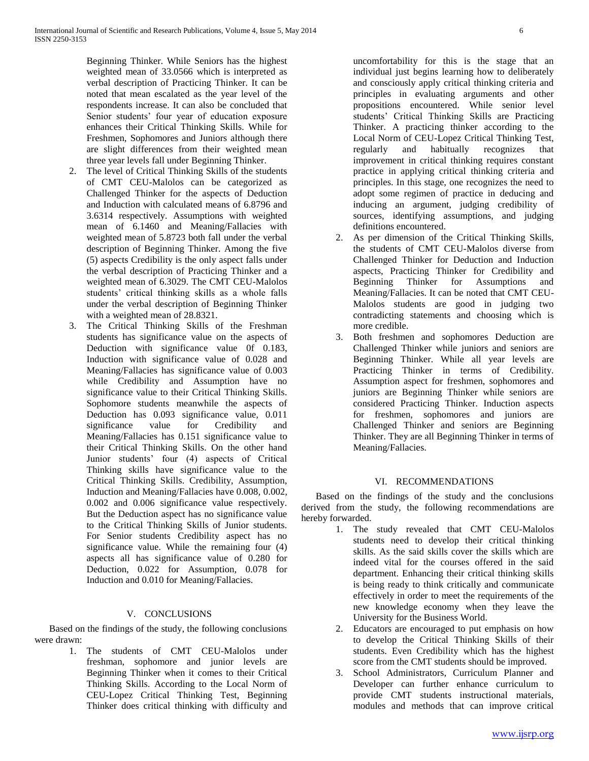Beginning Thinker. While Seniors has the highest weighted mean of 33.0566 which is interpreted as verbal description of Practicing Thinker. It can be noted that mean escalated as the year level of the respondents increase. It can also be concluded that Senior students' four year of education exposure enhances their Critical Thinking Skills. While for Freshmen, Sophomores and Juniors although there are slight differences from their weighted mean three year levels fall under Beginning Thinker.

- 2. The level of Critical Thinking Skills of the students of CMT CEU-Malolos can be categorized as Challenged Thinker for the aspects of Deduction and Induction with calculated means of 6.8796 and 3.6314 respectively. Assumptions with weighted mean of 6.1460 and Meaning/Fallacies with weighted mean of 5.8723 both fall under the verbal description of Beginning Thinker. Among the five (5) aspects Credibility is the only aspect falls under the verbal description of Practicing Thinker and a weighted mean of 6.3029. The CMT CEU-Malolos students' critical thinking skills as a whole falls under the verbal description of Beginning Thinker with a weighted mean of 28.8321.
- 3. The Critical Thinking Skills of the Freshman students has significance value on the aspects of Deduction with significance value 0f 0.183, Induction with significance value of 0.028 and Meaning/Fallacies has significance value of 0.003 while Credibility and Assumption have no significance value to their Critical Thinking Skills. Sophomore students meanwhile the aspects of Deduction has 0.093 significance value, 0.011 significance value for Credibility and Meaning/Fallacies has 0.151 significance value to their Critical Thinking Skills. On the other hand Junior students' four (4) aspects of Critical Thinking skills have significance value to the Critical Thinking Skills. Credibility, Assumption, Induction and Meaning/Fallacies have 0.008, 0.002, 0.002 and 0.006 significance value respectively. But the Deduction aspect has no significance value to the Critical Thinking Skills of Junior students. For Senior students Credibility aspect has no significance value. While the remaining four (4) aspects all has significance value of 0.280 for Deduction, 0.022 for Assumption, 0.078 for Induction and 0.010 for Meaning/Fallacies.

# V. CONCLUSIONS

 Based on the findings of the study, the following conclusions were drawn:

1. The students of CMT CEU-Malolos under freshman, sophomore and junior levels are Beginning Thinker when it comes to their Critical Thinking Skills. According to the Local Norm of CEU-Lopez Critical Thinking Test, Beginning Thinker does critical thinking with difficulty and

uncomfortability for this is the stage that an individual just begins learning how to deliberately and consciously apply critical thinking criteria and principles in evaluating arguments and other propositions encountered. While senior level students' Critical Thinking Skills are Practicing Thinker. A practicing thinker according to the Local Norm of CEU-Lopez Critical Thinking Test, regularly and habitually recognizes that improvement in critical thinking requires constant practice in applying critical thinking criteria and principles. In this stage, one recognizes the need to adopt some regimen of practice in deducing and inducing an argument, judging credibility of sources, identifying assumptions, and judging definitions encountered.

- 2. As per dimension of the Critical Thinking Skills, the students of CMT CEU-Malolos diverse from Challenged Thinker for Deduction and Induction aspects, Practicing Thinker for Credibility and Beginning Thinker for Assumptions and Meaning/Fallacies. It can be noted that CMT CEU-Malolos students are good in judging two contradicting statements and choosing which is more credible.
- 3. Both freshmen and sophomores Deduction are Challenged Thinker while juniors and seniors are Beginning Thinker. While all year levels are Practicing Thinker in terms of Credibility. Assumption aspect for freshmen, sophomores and juniors are Beginning Thinker while seniors are considered Practicing Thinker. Induction aspects for freshmen, sophomores and juniors are Challenged Thinker and seniors are Beginning Thinker. They are all Beginning Thinker in terms of Meaning/Fallacies.

# VI. RECOMMENDATIONS

 Based on the findings of the study and the conclusions derived from the study, the following recommendations are hereby forwarded.

- 1. The study revealed that CMT CEU-Malolos students need to develop their critical thinking skills. As the said skills cover the skills which are indeed vital for the courses offered in the said department. Enhancing their critical thinking skills is being ready to think critically and communicate effectively in order to meet the requirements of the new knowledge economy when they leave the University for the Business World.
- 2. Educators are encouraged to put emphasis on how to develop the Critical Thinking Skills of their students. Even Credibility which has the highest score from the CMT students should be improved.
- 3. School Administrators, Curriculum Planner and Developer can further enhance curriculum to provide CMT students instructional materials, modules and methods that can improve critical